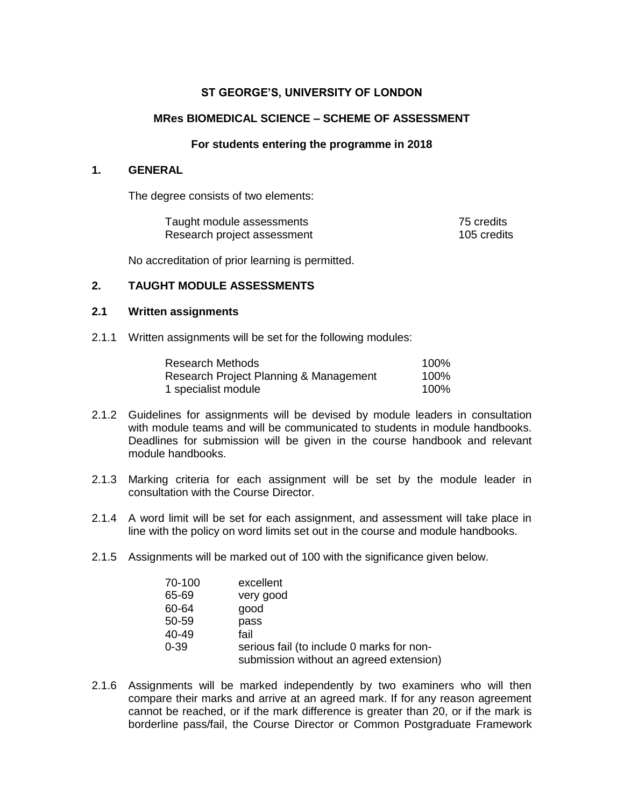# **ST GEORGE'S, UNIVERSITY OF LONDON**

## **MRes BIOMEDICAL SCIENCE – SCHEME OF ASSESSMENT**

#### **For students entering the programme in 2018**

### **1. GENERAL**

The degree consists of two elements:

| Taught module assessments   | 75 credits  |
|-----------------------------|-------------|
| Research project assessment | 105 credits |

No accreditation of prior learning is permitted.

### **2. TAUGHT MODULE ASSESSMENTS**

### **2.1 Written assignments**

2.1.1 Written assignments will be set for the following modules:

| Research Methods                       | 100% |
|----------------------------------------|------|
| Research Project Planning & Management | 100% |
| 1 specialist module                    | 100% |

- 2.1.2 Guidelines for assignments will be devised by module leaders in consultation with module teams and will be communicated to students in module handbooks. Deadlines for submission will be given in the course handbook and relevant module handbooks.
- 2.1.3 Marking criteria for each assignment will be set by the module leader in consultation with the Course Director.
- 2.1.4 A word limit will be set for each assignment, and assessment will take place in line with the policy on word limits set out in the course and module handbooks.
- 2.1.5 Assignments will be marked out of 100 with the significance given below.

| 70-100   | excellent                                                                            |
|----------|--------------------------------------------------------------------------------------|
| 65-69    | very good                                                                            |
| 60-64    | good                                                                                 |
| 50-59    | pass                                                                                 |
| 40-49    | fail                                                                                 |
| $0 - 39$ | serious fail (to include 0 marks for non-<br>submission without an agreed extension) |

2.1.6 Assignments will be marked independently by two examiners who will then compare their marks and arrive at an agreed mark. If for any reason agreement cannot be reached, or if the mark difference is greater than 20, or if the mark is borderline pass/fail, the Course Director or Common Postgraduate Framework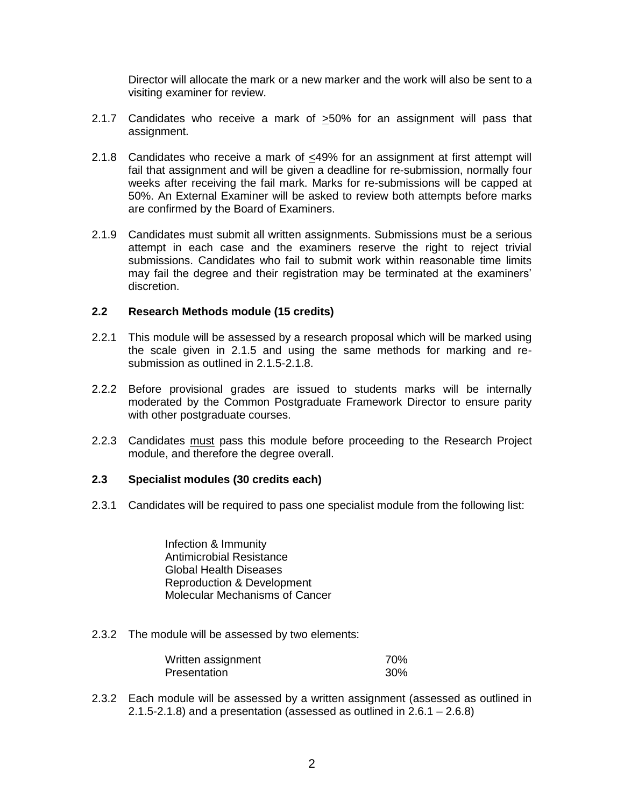Director will allocate the mark or a new marker and the work will also be sent to a visiting examiner for review.

- 2.1.7 Candidates who receive a mark of >50% for an assignment will pass that assignment.
- 2.1.8 Candidates who receive a mark of <49% for an assignment at first attempt will fail that assignment and will be given a deadline for re-submission, normally four weeks after receiving the fail mark. Marks for re-submissions will be capped at 50%. An External Examiner will be asked to review both attempts before marks are confirmed by the Board of Examiners.
- 2.1.9 Candidates must submit all written assignments. Submissions must be a serious attempt in each case and the examiners reserve the right to reject trivial submissions. Candidates who fail to submit work within reasonable time limits may fail the degree and their registration may be terminated at the examiners' discretion.

### **2.2 Research Methods module (15 credits)**

- 2.2.1 This module will be assessed by a research proposal which will be marked using the scale given in 2.1.5 and using the same methods for marking and resubmission as outlined in 2.1.5-2.1.8.
- 2.2.2 Before provisional grades are issued to students marks will be internally moderated by the Common Postgraduate Framework Director to ensure parity with other postgraduate courses.
- 2.2.3 Candidates must pass this module before proceeding to the Research Project module, and therefore the degree overall.

### **2.3 Specialist modules (30 credits each)**

2.3.1 Candidates will be required to pass one specialist module from the following list:

Infection & Immunity Antimicrobial Resistance Global Health Diseases Reproduction & Development Molecular Mechanisms of Cancer

2.3.2 The module will be assessed by two elements:

| Written assignment | 70% |
|--------------------|-----|
| Presentation       | 30% |

2.3.2 Each module will be assessed by a written assignment (assessed as outlined in 2.1.5-2.1.8) and a presentation (assessed as outlined in  $2.6.1 - 2.6.8$ )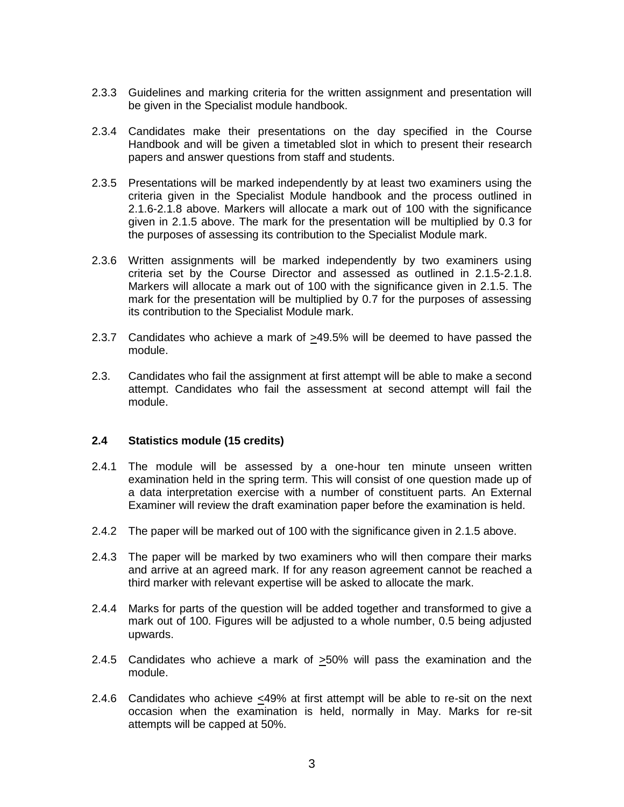- 2.3.3 Guidelines and marking criteria for the written assignment and presentation will be given in the Specialist module handbook.
- 2.3.4 Candidates make their presentations on the day specified in the Course Handbook and will be given a timetabled slot in which to present their research papers and answer questions from staff and students.
- 2.3.5 Presentations will be marked independently by at least two examiners using the criteria given in the Specialist Module handbook and the process outlined in 2.1.6-2.1.8 above. Markers will allocate a mark out of 100 with the significance given in 2.1.5 above. The mark for the presentation will be multiplied by 0.3 for the purposes of assessing its contribution to the Specialist Module mark.
- 2.3.6 Written assignments will be marked independently by two examiners using criteria set by the Course Director and assessed as outlined in 2.1.5-2.1.8. Markers will allocate a mark out of 100 with the significance given in 2.1.5. The mark for the presentation will be multiplied by 0.7 for the purposes of assessing its contribution to the Specialist Module mark.
- 2.3.7 Candidates who achieve a mark of >49.5% will be deemed to have passed the module.
- 2.3. Candidates who fail the assignment at first attempt will be able to make a second attempt. Candidates who fail the assessment at second attempt will fail the module.

### **2.4 Statistics module (15 credits)**

- 2.4.1 The module will be assessed by a one-hour ten minute unseen written examination held in the spring term. This will consist of one question made up of a data interpretation exercise with a number of constituent parts. An External Examiner will review the draft examination paper before the examination is held.
- 2.4.2 The paper will be marked out of 100 with the significance given in 2.1.5 above.
- 2.4.3 The paper will be marked by two examiners who will then compare their marks and arrive at an agreed mark. If for any reason agreement cannot be reached a third marker with relevant expertise will be asked to allocate the mark.
- 2.4.4 Marks for parts of the question will be added together and transformed to give a mark out of 100. Figures will be adjusted to a whole number, 0.5 being adjusted upwards.
- 2.4.5 Candidates who achieve a mark of  $\geq$ 50% will pass the examination and the module.
- 2.4.6 Candidates who achieve <49% at first attempt will be able to re-sit on the next occasion when the examination is held, normally in May. Marks for re-sit attempts will be capped at 50%.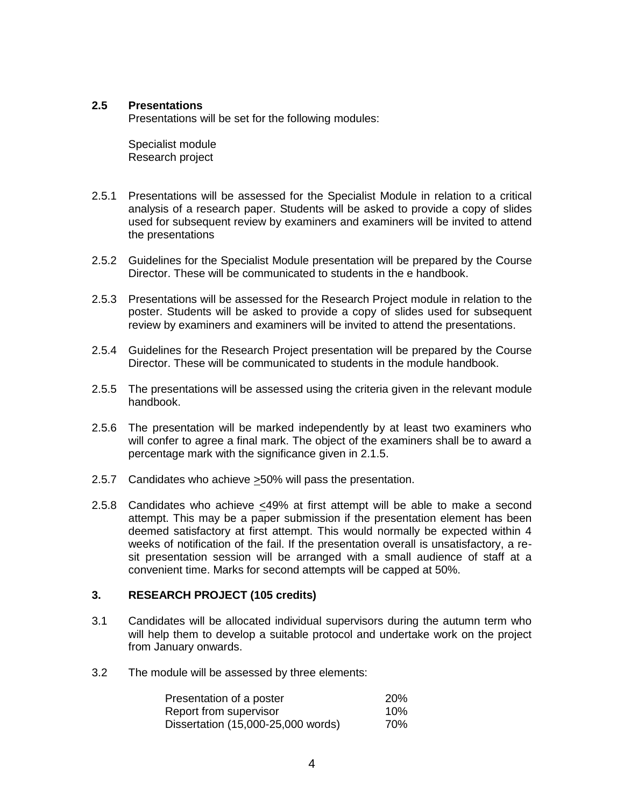### **2.5 Presentations**

Presentations will be set for the following modules:

Specialist module Research project

- 2.5.1 Presentations will be assessed for the Specialist Module in relation to a critical analysis of a research paper. Students will be asked to provide a copy of slides used for subsequent review by examiners and examiners will be invited to attend the presentations
- 2.5.2 Guidelines for the Specialist Module presentation will be prepared by the Course Director. These will be communicated to students in the e handbook.
- 2.5.3 Presentations will be assessed for the Research Project module in relation to the poster. Students will be asked to provide a copy of slides used for subsequent review by examiners and examiners will be invited to attend the presentations.
- 2.5.4 Guidelines for the Research Project presentation will be prepared by the Course Director. These will be communicated to students in the module handbook.
- 2.5.5 The presentations will be assessed using the criteria given in the relevant module handbook.
- 2.5.6 The presentation will be marked independently by at least two examiners who will confer to agree a final mark. The object of the examiners shall be to award a percentage mark with the significance given in 2.1.5.
- 2.5.7 Candidates who achieve >50% will pass the presentation.
- 2.5.8 Candidates who achieve <49% at first attempt will be able to make a second attempt. This may be a paper submission if the presentation element has been deemed satisfactory at first attempt. This would normally be expected within 4 weeks of notification of the fail. If the presentation overall is unsatisfactory, a resit presentation session will be arranged with a small audience of staff at a convenient time. Marks for second attempts will be capped at 50%.

## **3. RESEARCH PROJECT (105 credits)**

- 3.1 Candidates will be allocated individual supervisors during the autumn term who will help them to develop a suitable protocol and undertake work on the project from January onwards.
- 3.2 The module will be assessed by three elements:

| Presentation of a poster           | <b>20%</b> |
|------------------------------------|------------|
| Report from supervisor             | 10%        |
| Dissertation (15,000-25,000 words) | 70%        |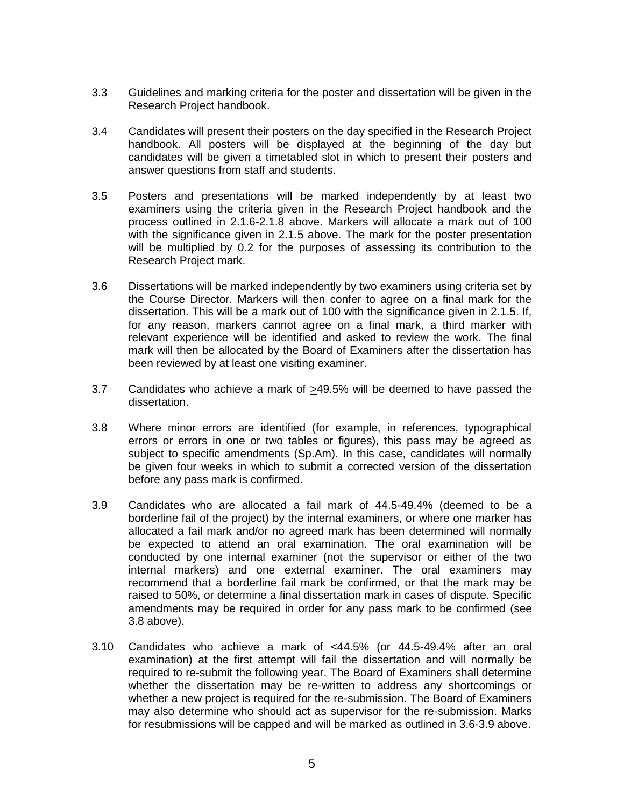- 3.3 Guidelines and marking criteria for the poster and dissertation will be given in the Research Project handbook.
- 3.4 Candidates will present their posters on the day specified in the Research Project handbook. All posters will be displayed at the beginning of the day but candidates will be given a timetabled slot in which to present their posters and answer questions from staff and students.
- 3.5 Posters and presentations will be marked independently by at least two examiners using the criteria given in the Research Project handbook and the process outlined in 2.1.6-2.1.8 above. Markers will allocate a mark out of 100 with the significance given in 2.1.5 above. The mark for the poster presentation will be multiplied by 0.2 for the purposes of assessing its contribution to the Research Project mark.
- 3.6 Dissertations will be marked independently by two examiners using criteria set by the Course Director. Markers will then confer to agree on a final mark for the dissertation. This will be a mark out of 100 with the significance given in 2.1.5. If, for any reason, markers cannot agree on a final mark, a third marker with relevant experience will be identified and asked to review the work. The final mark will then be allocated by the Board of Examiners after the dissertation has been reviewed by at least one visiting examiner.
- 3.7 Candidates who achieve a mark of >49.5% will be deemed to have passed the dissertation.
- 3.8 Where minor errors are identified (for example, in references, typographical errors or errors in one or two tables or figures), this pass may be agreed as subject to specific amendments (Sp.Am). In this case, candidates will normally be given four weeks in which to submit a corrected version of the dissertation before any pass mark is confirmed.
- 3.9 Candidates who are allocated a fail mark of 44.5-49.4% (deemed to be a borderline fail of the project) by the internal examiners, or where one marker has allocated a fail mark and/or no agreed mark has been determined will normally be expected to attend an oral examination. The oral examination will be conducted by one internal examiner (not the supervisor or either of the two internal markers) and one external examiner. The oral examiners may recommend that a borderline fail mark be confirmed, or that the mark may be raised to 50%, or determine a final dissertation mark in cases of dispute. Specific amendments may be required in order for any pass mark to be confirmed (see 3.8 above).
- 3.10 Candidates who achieve a mark of <44.5% (or 44.5-49.4% after an oral examination) at the first attempt will fail the dissertation and will normally be required to re-submit the following year. The Board of Examiners shall determine whether the dissertation may be re-written to address any shortcomings or whether a new project is required for the re-submission. The Board of Examiners may also determine who should act as supervisor for the re-submission. Marks for resubmissions will be capped and will be marked as outlined in 3.6-3.9 above.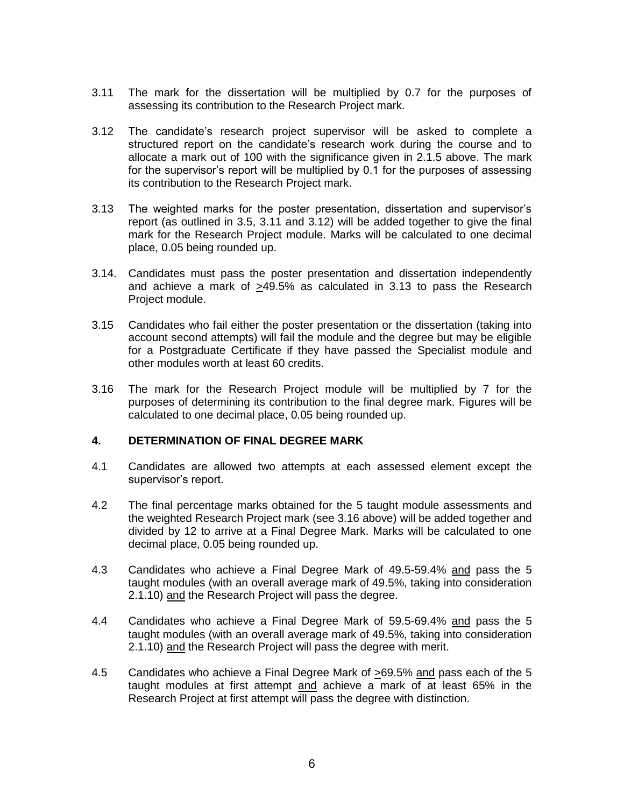- 3.11 The mark for the dissertation will be multiplied by 0.7 for the purposes of assessing its contribution to the Research Project mark.
- 3.12 The candidate's research project supervisor will be asked to complete a structured report on the candidate's research work during the course and to allocate a mark out of 100 with the significance given in 2.1.5 above. The mark for the supervisor's report will be multiplied by 0.1 for the purposes of assessing its contribution to the Research Project mark.
- 3.13 The weighted marks for the poster presentation, dissertation and supervisor's report (as outlined in 3.5, 3.11 and 3.12) will be added together to give the final mark for the Research Project module. Marks will be calculated to one decimal place, 0.05 being rounded up.
- 3.14. Candidates must pass the poster presentation and dissertation independently and achieve a mark of >49.5% as calculated in 3.13 to pass the Research Project module.
- 3.15 Candidates who fail either the poster presentation or the dissertation (taking into account second attempts) will fail the module and the degree but may be eligible for a Postgraduate Certificate if they have passed the Specialist module and other modules worth at least 60 credits.
- 3.16 The mark for the Research Project module will be multiplied by 7 for the purposes of determining its contribution to the final degree mark. Figures will be calculated to one decimal place, 0.05 being rounded up.

# **4. DETERMINATION OF FINAL DEGREE MARK**

- 4.1 Candidates are allowed two attempts at each assessed element except the supervisor's report.
- 4.2 The final percentage marks obtained for the 5 taught module assessments and the weighted Research Project mark (see 3.16 above) will be added together and divided by 12 to arrive at a Final Degree Mark. Marks will be calculated to one decimal place, 0.05 being rounded up.
- 4.3 Candidates who achieve a Final Degree Mark of 49.5-59.4% and pass the 5 taught modules (with an overall average mark of 49.5%, taking into consideration 2.1.10) and the Research Project will pass the degree.
- 4.4 Candidates who achieve a Final Degree Mark of 59.5-69.4% and pass the 5 taught modules (with an overall average mark of 49.5%, taking into consideration 2.1.10) and the Research Project will pass the degree with merit.
- 4.5 Candidates who achieve a Final Degree Mark of >69.5% and pass each of the 5 taught modules at first attempt and achieve a mark of at least 65% in the Research Project at first attempt will pass the degree with distinction.